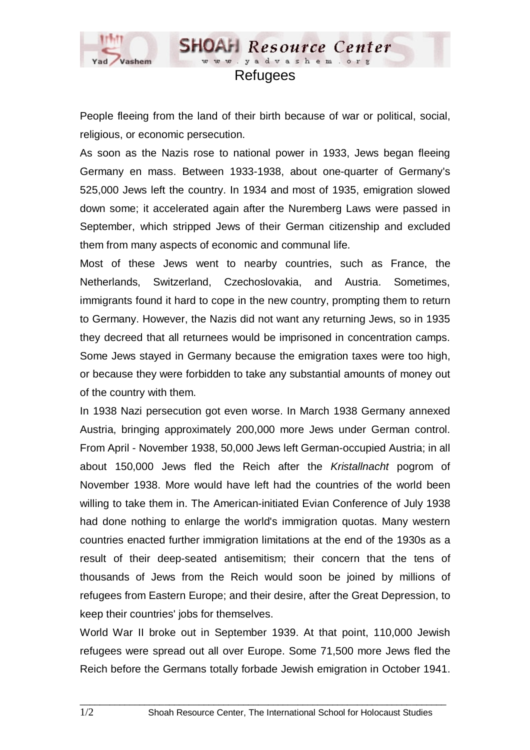

## **Refugees**

**SHOAH** Resource Center www.yadvashem.o

People fleeing from the land of their birth because of war or political, social, religious, or economic persecution.

As soon as the Nazis rose to national power in 1933, Jews began fleeing Germany en mass. Between 1933-1938, about one-quarter of Germany's 525,000 Jews left the country. In 1934 and most of 1935, emigration slowed down some; it accelerated again after the Nuremberg Laws were passed in September, which stripped Jews of their German citizenship and excluded them from many aspects of economic and communal life.

Most of these Jews went to nearby countries, such as France, the Netherlands, Switzerland, Czechoslovakia, and Austria. Sometimes, immigrants found it hard to cope in the new country, prompting them to return to Germany. However, the Nazis did not want any returning Jews, so in 1935 they decreed that all returnees would be imprisoned in concentration camps. Some Jews stayed in Germany because the emigration taxes were too high, or because they were forbidden to take any substantial amounts of money out of the country with them.

In 1938 Nazi persecution got even worse. In March 1938 Germany annexed Austria, bringing approximately 200,000 more Jews under German control. From April - November 1938, 50,000 Jews left German-occupied Austria; in all about 150,000 Jews fled the Reich after the *Kristallnacht* pogrom of November 1938. More would have left had the countries of the world been willing to take them in. The American-initiated Evian Conference of July 1938 had done nothing to enlarge the world's immigration quotas. Many western countries enacted further immigration limitations at the end of the 1930s as a result of their deep-seated antisemitism; their concern that the tens of thousands of Jews from the Reich would soon be joined by millions of refugees from Eastern Europe; and their desire, after the Great Depression, to keep their countries' jobs for themselves.

World War II broke out in September 1939. At that point, 110,000 Jewish refugees were spread out all over Europe. Some 71,500 more Jews fled the Reich before the Germans totally forbade Jewish emigration in October 1941.

 $\_$  ,  $\_$  ,  $\_$  ,  $\_$  ,  $\_$  ,  $\_$  ,  $\_$  ,  $\_$  ,  $\_$  ,  $\_$  ,  $\_$  ,  $\_$  ,  $\_$  ,  $\_$  ,  $\_$  ,  $\_$  ,  $\_$  ,  $\_$  ,  $\_$